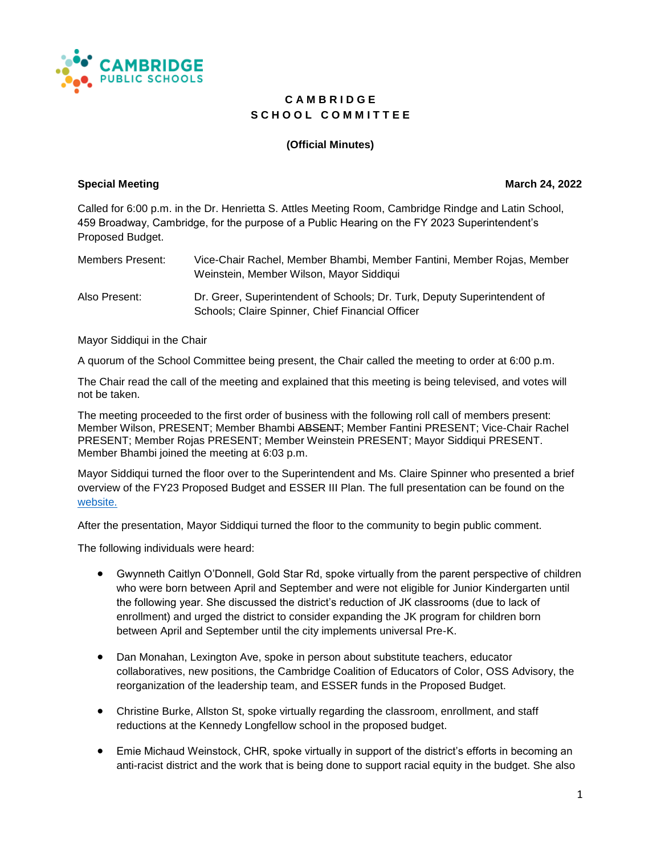

## **C A M B R I D G E** S C H O O L C O M M I T T E E

## **(Official Minutes)**

## **Special Meeting Contract Contract Contract Contract Contract Contract Contract Contract Contract Contract Contract Contract Contract Contract Contract Contract Contract Contract Contract Contract Contract Contract Contrac**

Called for 6:00 p.m. in the Dr. Henrietta S. Attles Meeting Room, Cambridge Rindge and Latin School, 459 Broadway, Cambridge, for the purpose of a Public Hearing on the FY 2023 Superintendent's Proposed Budget.

| Members Present: | Vice-Chair Rachel, Member Bhambi, Member Fantini, Member Rojas, Member<br>Weinstein, Member Wilson, Mayor Siddiqui           |
|------------------|------------------------------------------------------------------------------------------------------------------------------|
| Also Present:    | Dr. Greer, Superintendent of Schools; Dr. Turk, Deputy Superintendent of<br>Schools; Claire Spinner, Chief Financial Officer |

Mayor Siddiqui in the Chair

A quorum of the School Committee being present, the Chair called the meeting to order at 6:00 p.m.

The Chair read the call of the meeting and explained that this meeting is being televised, and votes will not be taken.

The meeting proceeded to the first order of business with the following roll call of members present: Member Wilson, PRESENT; Member Bhambi ABSENT; Member Fantini PRESENT; Vice-Chair Rachel PRESENT; Member Rojas PRESENT; Member Weinstein PRESENT; Mayor Siddiqui PRESENT. Member Bhambi joined the meeting at 6:03 p.m.

Mayor Siddiqui turned the floor over to the Superintendent and Ms. Claire Spinner who presented a brief overview of the FY23 Proposed Budget and ESSER III Plan. The full presentation can be found on the [website.](https://docs.google.com/presentation/d/1YAEMlBrcT-4teKiyyhwBwikI4_gIPod0KqCWOnNbTtI/edit)

After the presentation, Mayor Siddiqui turned the floor to the community to begin public comment.

The following individuals were heard:

- Gwynneth Caitlyn O'Donnell, Gold Star Rd, spoke virtually from the parent perspective of children who were born between April and September and were not eligible for Junior Kindergarten until the following year. She discussed the district's reduction of JK classrooms (due to lack of enrollment) and urged the district to consider expanding the JK program for children born between April and September until the city implements universal Pre-K.
- Dan Monahan, Lexington Ave, spoke in person about substitute teachers, educator collaboratives, new positions, the Cambridge Coalition of Educators of Color, OSS Advisory, the reorganization of the leadership team, and ESSER funds in the Proposed Budget.
- Christine Burke, Allston St, spoke virtually regarding the classroom, enrollment, and staff reductions at the Kennedy Longfellow school in the proposed budget.
- Emie Michaud Weinstock, CHR, spoke virtually in support of the district's efforts in becoming an anti-racist district and the work that is being done to support racial equity in the budget. She also